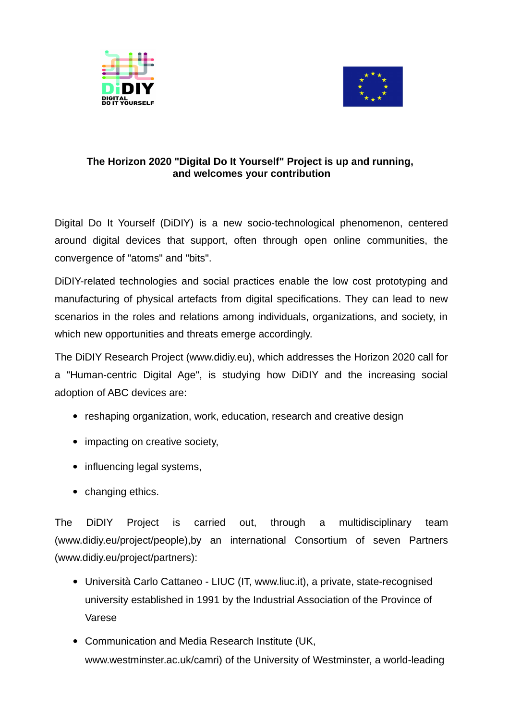



## **The Horizon 2020 "Digital Do It Yourself" Project is up and running, and welcomes your contribution**

Digital Do It Yourself (DiDIY) is a new socio-technological phenomenon, centered around digital devices that support, often through open online communities, the convergence of "atoms" and "bits".

DiDIY-related technologies and social practices enable the low cost prototyping and manufacturing of physical artefacts from digital specifications. They can lead to new scenarios in the roles and relations among individuals, organizations, and society, in which new opportunities and threats emerge accordingly.

The DiDIY Research Project (www.didiy.eu), which addresses the Horizon 2020 call for a "Human-centric Digital Age", is studying how DiDIY and the increasing social adoption of ABC devices are:

- reshaping organization, work, education, research and creative design
- impacting on creative society,
- influencing legal systems,
- changing ethics.

The DiDIY Project is carried out, through a multidisciplinary team (www.didiy.eu/project/people),by an international Consortium of seven Partners (www.didiy.eu/project/partners):

- Università Carlo Cattaneo LIUC (IT, www.liuc.it), a private, state-recognised university established in 1991 by the Industrial Association of the Province of Varese
- Communication and Media Research Institute (UK, www.westminster.ac.uk/camri) of the University of Westminster, a world-leading